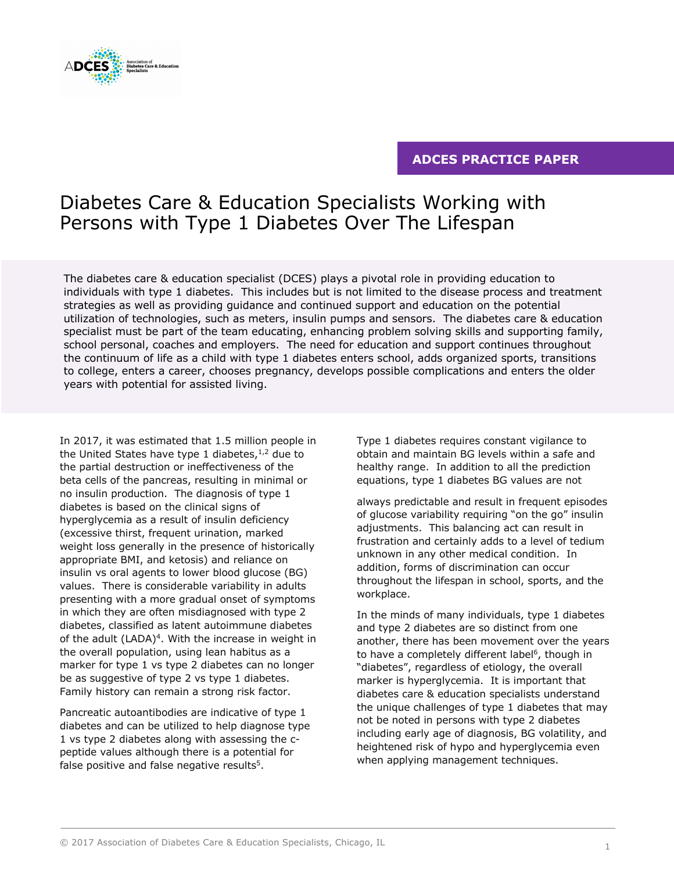

# **ADCES PRACTICE PAPER**

# Diabetes Care & Education Specialists Working with Persons with Type 1 Diabetes Over The Lifespan

The diabetes care & education specialist (DCES) plays a pivotal role in providing education to individuals with type 1 diabetes. This includes but is not limited to the disease process and treatment strategies as well as providing guidance and continued support and education on the potential utilization of technologies, such as meters, insulin pumps and sensors. The diabetes care & education specialist must be part of the team educating, enhancing problem solving skills and supporting family, school personal, coaches and employers. The need for education and support continues throughout the continuum of life as a child with type 1 diabetes enters school, adds organized sports, transitions to college, enters a career, chooses pregnancy, develops possible complications and enters the older years with potential for assisted living.

In 2017, it was estimated that 1.5 million people in the United States have type 1 diabetes, $1/2$  due to the partial destruction or ineffectiveness of the beta cells of the pancreas, resulting in minimal or no insulin production. The diagnosis of type 1 diabetes is based on the clinical signs of hyperglycemia as a result of insulin deficiency (excessive thirst, frequent urination, marked weight loss generally in the presence of historically appropriate BMI, and ketosis) and reliance on insulin vs oral agents to lower blood glucose (BG) values. There is considerable variability in adults presenting with a more gradual onset of symptoms in which they are often misdiagnosed with type 2 diabetes, classified as latent autoimmune diabetes of the adult  $(LADA)^4$ . With the increase in weight in the overall population, using lean habitus as a marker for type 1 vs type 2 diabetes can no longer be as suggestive of type 2 vs type 1 diabetes. Family history can remain a strong risk factor.

Pancreatic autoantibodies are indicative of type 1 diabetes and can be utilized to help diagnose type 1 vs type 2 diabetes along with assessing the cpeptide values although there is a potential for false positive and false negative results<sup>5</sup>.

Type 1 diabetes requires constant vigilance to obtain and maintain BG levels within a safe and healthy range. In addition to all the prediction equations, type 1 diabetes BG values are not

always predictable and result in frequent episodes of glucose variability requiring "on the go" insulin adjustments. This balancing act can result in frustration and certainly adds to a level of tedium unknown in any other medical condition. In addition, forms of discrimination can occur throughout the lifespan in school, sports, and the workplace.

In the minds of many individuals, type 1 diabetes and type 2 diabetes are so distinct from one another, there has been movement over the years to have a completely different label<sup>6</sup>, though in "diabetes", regardless of etiology, the overall marker is hyperglycemia. It is important that diabetes care & education specialists understand the unique challenges of type 1 diabetes that may not be noted in persons with type 2 diabetes including early age of diagnosis, BG volatility, and heightened risk of hypo and hyperglycemia even when applying management techniques.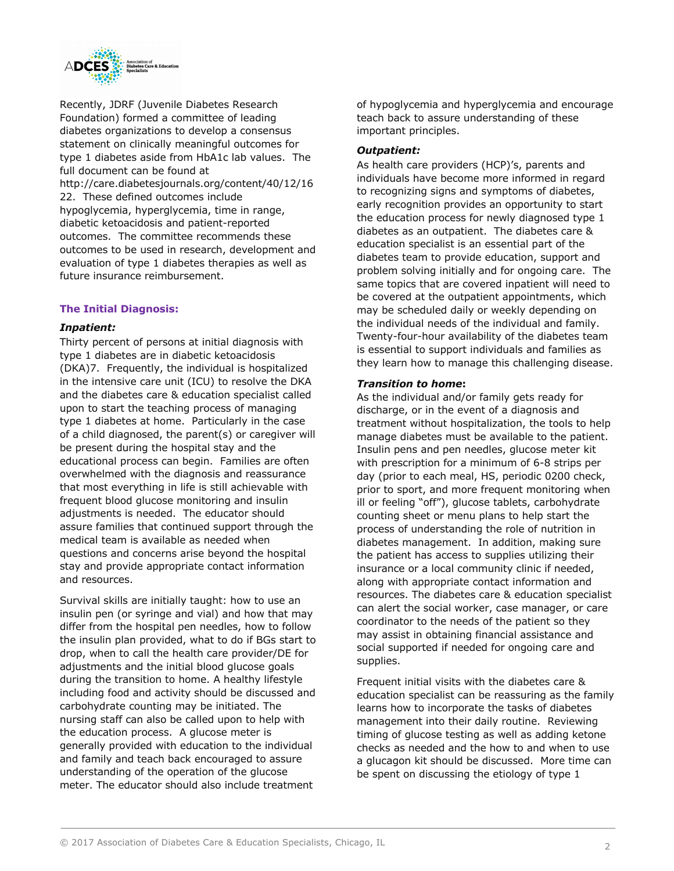

Recently, JDRF (Juvenile Diabetes Research Foundation) formed a committee of leading diabetes organizations to develop a consensus statement on clinically meaningful outcomes for type 1 diabetes aside from HbA1c lab values. The full document can be found at http://care.diabetesjournals.org/content/40/12/16 22. These defined outcomes include hypoglycemia, hyperglycemia, time in range, diabetic ketoacidosis and patient-reported outcomes. The committee recommends these outcomes to be used in research, development and evaluation of type 1 diabetes therapies as well as future insurance reimbursement.

## **The Initial Diagnosis:**

## *Inpatient:*

Thirty percent of persons at initial diagnosis with type 1 diabetes are in diabetic ketoacidosis (DKA)7. Frequently, the individual is hospitalized in the intensive care unit (ICU) to resolve the DKA and the diabetes care & education specialist called upon to start the teaching process of managing type 1 diabetes at home. Particularly in the case of a child diagnosed, the parent(s) or caregiver will be present during the hospital stay and the educational process can begin. Families are often overwhelmed with the diagnosis and reassurance that most everything in life is still achievable with frequent blood glucose monitoring and insulin adjustments is needed. The educator should assure families that continued support through the medical team is available as needed when questions and concerns arise beyond the hospital stay and provide appropriate contact information and resources.

Survival skills are initially taught: how to use an insulin pen (or syringe and vial) and how that may differ from the hospital pen needles, how to follow the insulin plan provided, what to do if BGs start to drop, when to call the health care provider/DE for adjustments and the initial blood glucose goals during the transition to home. A healthy lifestyle including food and activity should be discussed and carbohydrate counting may be initiated. The nursing staff can also be called upon to help with the education process. A glucose meter is generally provided with education to the individual and family and teach back encouraged to assure understanding of the operation of the glucose meter. The educator should also include treatment

of hypoglycemia and hyperglycemia and encourage teach back to assure understanding of these important principles.

## *Outpatient:*

As health care providers (HCP)'s, parents and individuals have become more informed in regard to recognizing signs and symptoms of diabetes, early recognition provides an opportunity to start the education process for newly diagnosed type 1 diabetes as an outpatient. The diabetes care & education specialist is an essential part of the diabetes team to provide education, support and problem solving initially and for ongoing care. The same topics that are covered inpatient will need to be covered at the outpatient appointments, which may be scheduled daily or weekly depending on the individual needs of the individual and family. Twenty-four-hour availability of the diabetes team is essential to support individuals and families as they learn how to manage this challenging disease.

## *Transition to home***:**

As the individual and/or family gets ready for discharge, or in the event of a diagnosis and treatment without hospitalization, the tools to help manage diabetes must be available to the patient. Insulin pens and pen needles, glucose meter kit with prescription for a minimum of 6-8 strips per day (prior to each meal, HS, periodic 0200 check, prior to sport, and more frequent monitoring when ill or feeling "off"), glucose tablets, carbohydrate counting sheet or menu plans to help start the process of understanding the role of nutrition in diabetes management. In addition, making sure the patient has access to supplies utilizing their insurance or a local community clinic if needed, along with appropriate contact information and resources. The diabetes care & education specialist can alert the social worker, case manager, or care coordinator to the needs of the patient so they may assist in obtaining financial assistance and social supported if needed for ongoing care and supplies.

Frequent initial visits with the diabetes care & education specialist can be reassuring as the family learns how to incorporate the tasks of diabetes management into their daily routine. Reviewing timing of glucose testing as well as adding ketone checks as needed and the how to and when to use a glucagon kit should be discussed. More time can be spent on discussing the etiology of type 1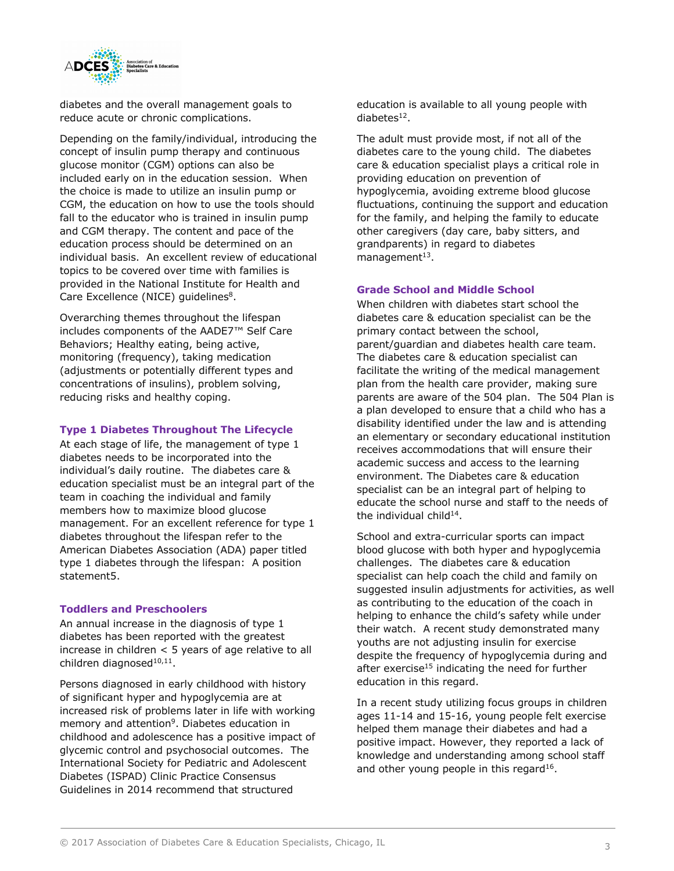

diabetes and the overall management goals to reduce acute or chronic complications.

Depending on the family/individual, introducing the concept of insulin pump therapy and continuous glucose monitor (CGM) options can also be included early on in the education session. When the choice is made to utilize an insulin pump or CGM, the education on how to use the tools should fall to the educator who is trained in insulin pump and CGM therapy. The content and pace of the education process should be determined on an individual basis. An excellent review of educational topics to be covered over time with families is provided in the National Institute for Health and Care Excellence (NICE) guidelines<sup>8</sup>.

Overarching themes throughout the lifespan includes components of the AADE7™ Self Care Behaviors; Healthy eating, being active, monitoring (frequency), taking medication (adjustments or potentially different types and concentrations of insulins), problem solving, reducing risks and healthy coping.

## **Type 1 Diabetes Throughout The Lifecycle**

At each stage of life, the management of type 1 diabetes needs to be incorporated into the individual's daily routine. The diabetes care & education specialist must be an integral part of the team in coaching the individual and family members how to maximize blood glucose management. For an excellent reference for type 1 diabetes throughout the lifespan refer to the American Diabetes Association (ADA) paper titled type 1 diabetes through the lifespan: A position statement5.

#### **Toddlers and Preschoolers**

An annual increase in the diagnosis of type 1 diabetes has been reported with the greatest increase in children < 5 years of age relative to all children diagnose $d^{10,11}$ .

Persons diagnosed in early childhood with history of significant hyper and hypoglycemia are at increased risk of problems later in life with working memory and attention<sup>9</sup>. Diabetes education in childhood and adolescence has a positive impact of glycemic control and psychosocial outcomes. The International Society for Pediatric and Adolescent Diabetes (ISPAD) Clinic Practice Consensus Guidelines in 2014 recommend that structured

education is available to all young people with diabetes12.

The adult must provide most, if not all of the diabetes care to the young child. The diabetes care & education specialist plays a critical role in providing education on prevention of hypoglycemia, avoiding extreme blood glucose fluctuations, continuing the support and education for the family, and helping the family to educate other caregivers (day care, baby sitters, and grandparents) in regard to diabetes  $m$ anagement $13$ .

## **Grade School and Middle School**

When children with diabetes start school the diabetes care & education specialist can be the primary contact between the school, parent/guardian and diabetes health care team. The diabetes care & education specialist can facilitate the writing of the medical management plan from the health care provider, making sure parents are aware of the 504 plan. The 504 Plan is a plan developed to ensure that a child who has a disability identified under the law and is attending an elementary or secondary educational institution receives accommodations that will ensure their academic success and access to the learning environment. The Diabetes care & education specialist can be an integral part of helping to educate the school nurse and staff to the needs of the individual child $14$ .

School and extra-curricular sports can impact blood glucose with both hyper and hypoglycemia challenges. The diabetes care & education specialist can help coach the child and family on suggested insulin adjustments for activities, as well as contributing to the education of the coach in helping to enhance the child's safety while under their watch. A recent study demonstrated many youths are not adjusting insulin for exercise despite the frequency of hypoglycemia during and after exercise $15$  indicating the need for further education in this regard.

In a recent study utilizing focus groups in children ages 11-14 and 15-16, young people felt exercise helped them manage their diabetes and had a positive impact. However, they reported a lack of knowledge and understanding among school staff and other young people in this regard $16$ .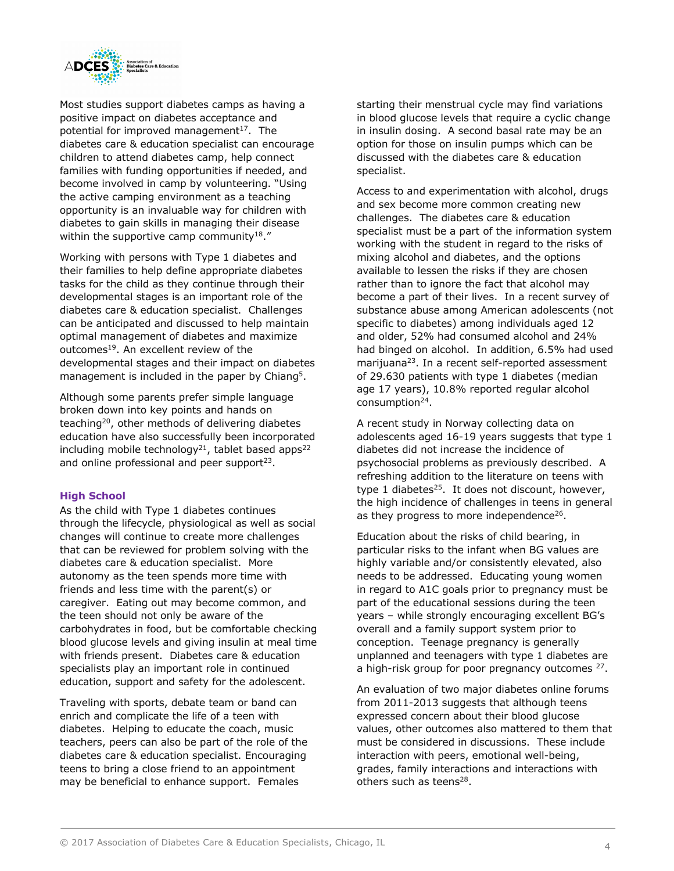

Most studies support diabetes camps as having a positive impact on diabetes acceptance and potential for improved management $17$ . The diabetes care & education specialist can encourage children to attend diabetes camp, help connect families with funding opportunities if needed, and become involved in camp by volunteering. "Using the active camping environment as a teaching opportunity is an invaluable way for children with diabetes to gain skills in managing their disease within the supportive camp community<sup>18</sup>."

Working with persons with Type 1 diabetes and their families to help define appropriate diabetes tasks for the child as they continue through their developmental stages is an important role of the diabetes care & education specialist. Challenges can be anticipated and discussed to help maintain optimal management of diabetes and maximize outcomes<sup>19</sup>. An excellent review of the developmental stages and their impact on diabetes management is included in the paper by Chiang<sup>5</sup>.

Although some parents prefer simple language broken down into key points and hands on teaching20, other methods of delivering diabetes education have also successfully been incorporated including mobile technology<sup>21</sup>, tablet based apps<sup>22</sup> and online professional and peer support $23$ .

## **High School**

As the child with Type 1 diabetes continues through the lifecycle, physiological as well as social changes will continue to create more challenges that can be reviewed for problem solving with the diabetes care & education specialist. More autonomy as the teen spends more time with friends and less time with the parent(s) or caregiver. Eating out may become common, and the teen should not only be aware of the carbohydrates in food, but be comfortable checking blood glucose levels and giving insulin at meal time with friends present. Diabetes care & education specialists play an important role in continued education, support and safety for the adolescent.

Traveling with sports, debate team or band can enrich and complicate the life of a teen with diabetes. Helping to educate the coach, music teachers, peers can also be part of the role of the diabetes care & education specialist. Encouraging teens to bring a close friend to an appointment may be beneficial to enhance support. Females

starting their menstrual cycle may find variations in blood glucose levels that require a cyclic change in insulin dosing. A second basal rate may be an option for those on insulin pumps which can be discussed with the diabetes care & education specialist.

Access to and experimentation with alcohol, drugs and sex become more common creating new challenges. The diabetes care & education specialist must be a part of the information system working with the student in regard to the risks of mixing alcohol and diabetes, and the options available to lessen the risks if they are chosen rather than to ignore the fact that alcohol may become a part of their lives. In a recent survey of substance abuse among American adolescents (not specific to diabetes) among individuals aged 12 and older, 52% had consumed alcohol and 24% had binged on alcohol. In addition, 6.5% had used marijuana<sup>23</sup>. In a recent self-reported assessment of 29.630 patients with type 1 diabetes (median age 17 years), 10.8% reported regular alcohol consumption<sup>24</sup>.

A recent study in Norway collecting data on adolescents aged 16-19 years suggests that type 1 diabetes did not increase the incidence of psychosocial problems as previously described. A refreshing addition to the literature on teens with type 1 diabetes $^{25}$ . It does not discount, however, the high incidence of challenges in teens in general as they progress to more independence<sup>26</sup>.

Education about the risks of child bearing, in particular risks to the infant when BG values are highly variable and/or consistently elevated, also needs to be addressed. Educating young women in regard to A1C goals prior to pregnancy must be part of the educational sessions during the teen years – while strongly encouraging excellent BG's overall and a family support system prior to conception. Teenage pregnancy is generally unplanned and teenagers with type 1 diabetes are a high-risk group for poor pregnancy outcomes <sup>27</sup>.

An evaluation of two major diabetes online forums from 2011-2013 suggests that although teens expressed concern about their blood glucose values, other outcomes also mattered to them that must be considered in discussions. These include interaction with peers, emotional well-being, grades, family interactions and interactions with others such as teens<sup>28</sup>.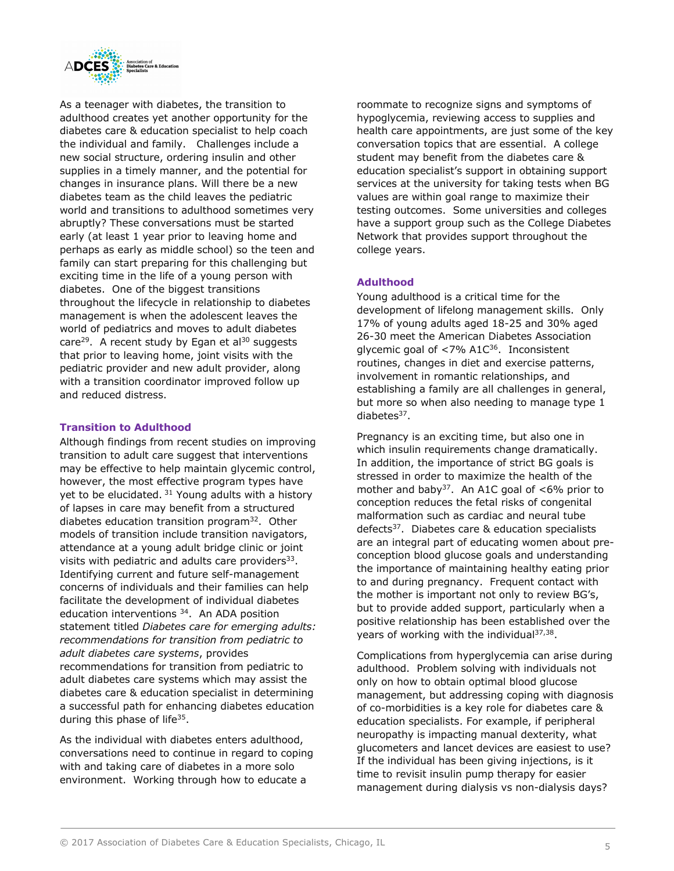

As a teenager with diabetes, the transition to adulthood creates yet another opportunity for the diabetes care & education specialist to help coach the individual and family. Challenges include a new social structure, ordering insulin and other supplies in a timely manner, and the potential for changes in insurance plans. Will there be a new diabetes team as the child leaves the pediatric world and transitions to adulthood sometimes very abruptly? These conversations must be started early (at least 1 year prior to leaving home and perhaps as early as middle school) so the teen and family can start preparing for this challenging but exciting time in the life of a young person with diabetes. One of the biggest transitions throughout the lifecycle in relationship to diabetes management is when the adolescent leaves the world of pediatrics and moves to adult diabetes care<sup>29</sup>. A recent study by Egan et al<sup>30</sup> suggests that prior to leaving home, joint visits with the pediatric provider and new adult provider, along with a transition coordinator improved follow up and reduced distress.

## **Transition to Adulthood**

Although findings from recent studies on improving transition to adult care suggest that interventions may be effective to help maintain glycemic control, however, the most effective program types have yet to be elucidated. <sup>31</sup> Young adults with a history of lapses in care may benefit from a structured diabetes education transition program<sup>32</sup>. Other models of transition include transition navigators, attendance at a young adult bridge clinic or joint visits with pediatric and adults care providers $33$ . Identifying current and future self-management concerns of individuals and their families can help facilitate the development of individual diabetes education interventions 34. An ADA position statement titled *Diabetes care for emerging adults: recommendations for transition from pediatric to adult diabetes care systems*, provides recommendations for transition from pediatric to adult diabetes care systems which may assist the diabetes care & education specialist in determining a successful path for enhancing diabetes education during this phase of life<sup>35</sup>.

As the individual with diabetes enters adulthood, conversations need to continue in regard to coping with and taking care of diabetes in a more solo environment. Working through how to educate a

roommate to recognize signs and symptoms of hypoglycemia, reviewing access to supplies and health care appointments, are just some of the key conversation topics that are essential. A college student may benefit from the diabetes care & education specialist's support in obtaining support services at the university for taking tests when BG values are within goal range to maximize their testing outcomes. Some universities and colleges have a support group such as the College Diabetes Network that provides support throughout the college years.

## **Adulthood**

Young adulthood is a critical time for the development of lifelong management skills. Only 17% of young adults aged 18-25 and 30% aged 26-30 meet the American Diabetes Association glycemic goal of  $\langle 7\% \text{ A1C}^{36} \rangle$ . Inconsistent routines, changes in diet and exercise patterns, involvement in romantic relationships, and establishing a family are all challenges in general, but more so when also needing to manage type 1  $diabetes<sup>37</sup>$ .

Pregnancy is an exciting time, but also one in which insulin requirements change dramatically. In addition, the importance of strict BG goals is stressed in order to maximize the health of the mother and baby<sup>37</sup>. An A1C goal of  $<6\%$  prior to conception reduces the fetal risks of congenital malformation such as cardiac and neural tube defects37. Diabetes care & education specialists are an integral part of educating women about preconception blood glucose goals and understanding the importance of maintaining healthy eating prior to and during pregnancy. Frequent contact with the mother is important not only to review BG's, but to provide added support, particularly when a positive relationship has been established over the years of working with the individual $37,38$ .

Complications from hyperglycemia can arise during adulthood. Problem solving with individuals not only on how to obtain optimal blood glucose management, but addressing coping with diagnosis of co-morbidities is a key role for diabetes care & education specialists. For example, if peripheral neuropathy is impacting manual dexterity, what glucometers and lancet devices are easiest to use? If the individual has been giving injections, is it time to revisit insulin pump therapy for easier management during dialysis vs non-dialysis days?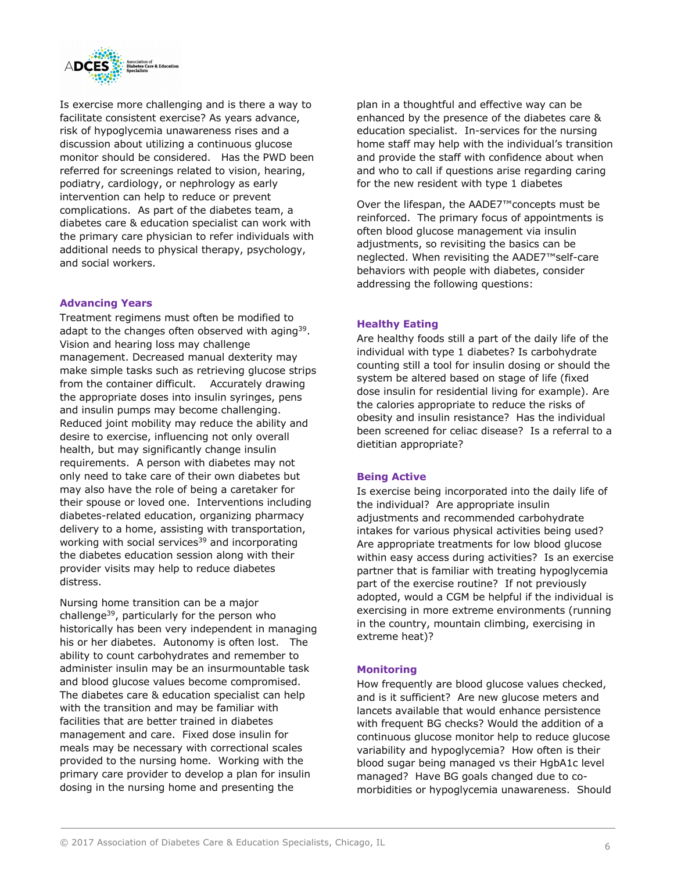

Is exercise more challenging and is there a way to facilitate consistent exercise? As years advance, risk of hypoglycemia unawareness rises and a discussion about utilizing a continuous glucose monitor should be considered. Has the PWD been referred for screenings related to vision, hearing, podiatry, cardiology, or nephrology as early intervention can help to reduce or prevent complications. As part of the diabetes team, a diabetes care & education specialist can work with the primary care physician to refer individuals with additional needs to physical therapy, psychology, and social workers.

## **Advancing Years**

Treatment regimens must often be modified to adapt to the changes often observed with aging  $39$ . Vision and hearing loss may challenge management. Decreased manual dexterity may make simple tasks such as retrieving glucose strips from the container difficult. Accurately drawing the appropriate doses into insulin syringes, pens and insulin pumps may become challenging. Reduced joint mobility may reduce the ability and desire to exercise, influencing not only overall health, but may significantly change insulin requirements. A person with diabetes may not only need to take care of their own diabetes but may also have the role of being a caretaker for their spouse or loved one. Interventions including diabetes-related education, organizing pharmacy delivery to a home, assisting with transportation, working with social services<sup>39</sup> and incorporating the diabetes education session along with their provider visits may help to reduce diabetes distress.

Nursing home transition can be a major challenge39, particularly for the person who historically has been very independent in managing his or her diabetes. Autonomy is often lost. The ability to count carbohydrates and remember to administer insulin may be an insurmountable task and blood glucose values become compromised. The diabetes care & education specialist can help with the transition and may be familiar with facilities that are better trained in diabetes management and care. Fixed dose insulin for meals may be necessary with correctional scales provided to the nursing home. Working with the primary care provider to develop a plan for insulin dosing in the nursing home and presenting the

plan in a thoughtful and effective way can be enhanced by the presence of the diabetes care & education specialist. In-services for the nursing home staff may help with the individual's transition and provide the staff with confidence about when and who to call if questions arise regarding caring for the new resident with type 1 diabetes

Over the lifespan, the AADE7™concepts must be reinforced. The primary focus of appointments is often blood glucose management via insulin adjustments, so revisiting the basics can be neglected. When revisiting the AADE7™self-care behaviors with people with diabetes, consider addressing the following questions:

#### **Healthy Eating**

Are healthy foods still a part of the daily life of the individual with type 1 diabetes? Is carbohydrate counting still a tool for insulin dosing or should the system be altered based on stage of life (fixed dose insulin for residential living for example). Are the calories appropriate to reduce the risks of obesity and insulin resistance? Has the individual been screened for celiac disease? Is a referral to a dietitian appropriate?

#### **Being Active**

Is exercise being incorporated into the daily life of the individual? Are appropriate insulin adjustments and recommended carbohydrate intakes for various physical activities being used? Are appropriate treatments for low blood glucose within easy access during activities? Is an exercise partner that is familiar with treating hypoglycemia part of the exercise routine? If not previously adopted, would a CGM be helpful if the individual is exercising in more extreme environments (running in the country, mountain climbing, exercising in extreme heat)?

#### **Monitoring**

How frequently are blood glucose values checked, and is it sufficient? Are new glucose meters and lancets available that would enhance persistence with frequent BG checks? Would the addition of a continuous glucose monitor help to reduce glucose variability and hypoglycemia? How often is their blood sugar being managed vs their HgbA1c level managed? Have BG goals changed due to comorbidities or hypoglycemia unawareness. Should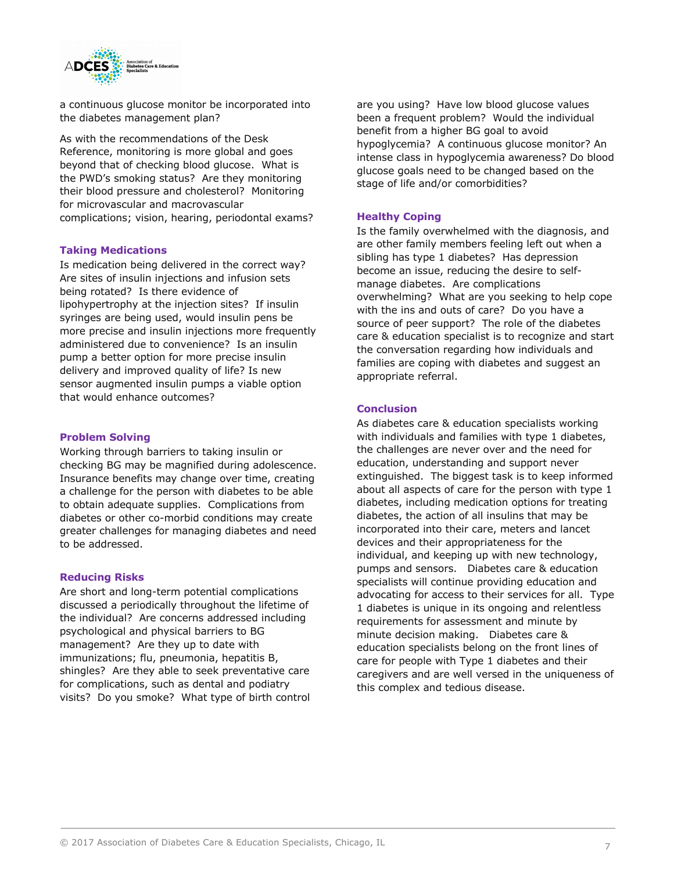

a continuous glucose monitor be incorporated into the diabetes management plan?

As with the recommendations of the Desk Reference, monitoring is more global and goes beyond that of checking blood glucose. What is the PWD's smoking status? Are they monitoring their blood pressure and cholesterol? Monitoring for microvascular and macrovascular complications; vision, hearing, periodontal exams?

#### **Taking Medications**

Is medication being delivered in the correct way? Are sites of insulin injections and infusion sets being rotated? Is there evidence of lipohypertrophy at the injection sites? If insulin syringes are being used, would insulin pens be more precise and insulin injections more frequently administered due to convenience? Is an insulin pump a better option for more precise insulin delivery and improved quality of life? Is new sensor augmented insulin pumps a viable option that would enhance outcomes?

#### **Problem Solving**

Working through barriers to taking insulin or checking BG may be magnified during adolescence. Insurance benefits may change over time, creating a challenge for the person with diabetes to be able to obtain adequate supplies. Complications from diabetes or other co-morbid conditions may create greater challenges for managing diabetes and need to be addressed.

#### **Reducing Risks**

Are short and long-term potential complications discussed a periodically throughout the lifetime of the individual? Are concerns addressed including psychological and physical barriers to BG management? Are they up to date with immunizations; flu, pneumonia, hepatitis B, shingles? Are they able to seek preventative care for complications, such as dental and podiatry visits? Do you smoke? What type of birth control are you using? Have low blood glucose values been a frequent problem? Would the individual benefit from a higher BG goal to avoid hypoglycemia? A continuous glucose monitor? An intense class in hypoglycemia awareness? Do blood glucose goals need to be changed based on the stage of life and/or comorbidities?

#### **Healthy Coping**

Is the family overwhelmed with the diagnosis, and are other family members feeling left out when a sibling has type 1 diabetes? Has depression become an issue, reducing the desire to selfmanage diabetes. Are complications overwhelming? What are you seeking to help cope with the ins and outs of care? Do you have a source of peer support? The role of the diabetes care & education specialist is to recognize and start the conversation regarding how individuals and families are coping with diabetes and suggest an appropriate referral.

#### **Conclusion**

As diabetes care & education specialists working with individuals and families with type 1 diabetes, the challenges are never over and the need for education, understanding and support never extinguished. The biggest task is to keep informed about all aspects of care for the person with type 1 diabetes, including medication options for treating diabetes, the action of all insulins that may be incorporated into their care, meters and lancet devices and their appropriateness for the individual, and keeping up with new technology, pumps and sensors. Diabetes care & education specialists will continue providing education and advocating for access to their services for all. Type 1 diabetes is unique in its ongoing and relentless requirements for assessment and minute by minute decision making. Diabetes care & education specialists belong on the front lines of care for people with Type 1 diabetes and their caregivers and are well versed in the uniqueness of this complex and tedious disease.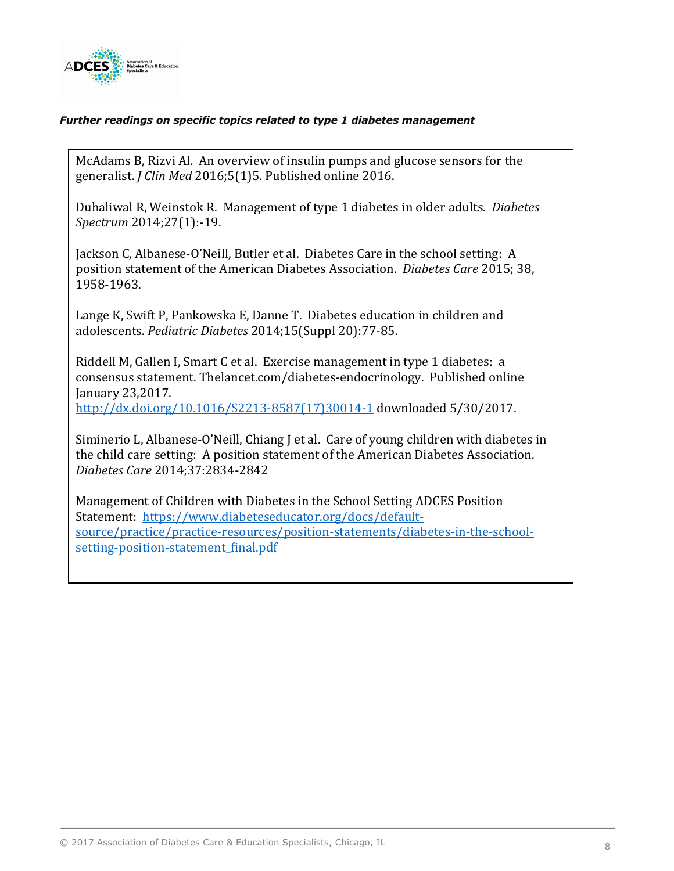

# *Further readings on specific topics related to type 1 diabetes management*

McAdams B, Rizvi Al. An overview of insulin pumps and glucose sensors for the generalist. *J Clin Med* 2016;5(1)5. Published online 2016.

Duhaliwal R, Weinstok R. Management of type 1 diabetes in older adults. *Diabetes Spectrum* 2014;27(1):-19.

Jackson C, Albanese-O'Neill, Butler et al. Diabetes Care in the school setting: A position statement of the American Diabetes Association. *Diabetes Care* 2015; 38, 1958-1963.

Lange K, Swift P, Pankowska E, Danne T. Diabetes education in children and adolescents. *Pediatric Diabetes* 2014;15(Suppl 20):77-85.

Riddell M, Gallen I, Smart C et al. Exercise management in type 1 diabetes: a consensus statement. Thelancet.com/diabetes-endocrinology. Published online January 23,2017. 

http://dx.doi.org/10.1016/S2213-8587(17)30014-1 downloaded 5/30/2017.

Siminerio L, Albanese-O'Neill, Chiang  $\vert$  et al. Care of young children with diabetes in the child care setting: A position statement of the American Diabetes Association. *Diabetes Care* 2014;37:2834-2842

Management of Children with Diabetes in the School Setting ADCES Position Statement: https://www.diabeteseducator.org/docs/defaultsource/practice/practice-resources/position-statements/diabetes-in-the-schoolsetting-position-statement final.pdf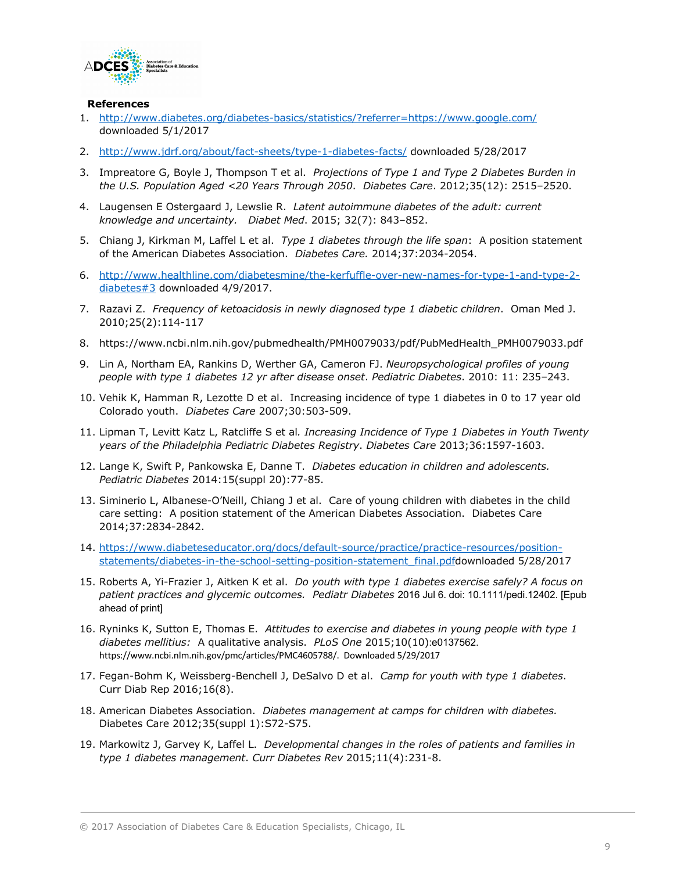

#### **References**

- 1. http://www.diabetes.org/diabetes-basics/statistics/?referrer=https://www.google.com/ downloaded 5/1/2017
- 2. http://www.jdrf.org/about/fact-sheets/type-1-diabetes-facts/ downloaded 5/28/2017
- 3. Impreatore G, Boyle J, Thompson T et al. *Projections of Type 1 and Type 2 Diabetes Burden in the U.S. Population Aged <20 Years Through 2050*. *Diabetes Care*. 2012;35(12): 2515–2520.
- 4. Laugensen E Ostergaard J, Lewslie R. *Latent autoimmune diabetes of the adult: current knowledge and uncertainty. Diabet Med*. 2015; 32(7): 843–852.
- 5. Chiang J, Kirkman M, Laffel L et al. *Type 1 diabetes through the life span*: A position statement of the American Diabetes Association. *Diabetes Care.* 2014;37:2034-2054.
- 6. http://www.healthline.com/diabetesmine/the-kerfuffle-over-new-names-for-type-1-and-type-2 diabetes#3 downloaded 4/9/2017.
- 7. Razavi Z. *Frequency of ketoacidosis in newly diagnosed type 1 diabetic children*. Oman Med J. 2010;25(2):114-117
- 8. https://www.ncbi.nlm.nih.gov/pubmedhealth/PMH0079033/pdf/PubMedHealth\_PMH0079033.pdf
- 9. Lin A, Northam EA, Rankins D, Werther GA, Cameron FJ. *Neuropsychological profiles of young people with type 1 diabetes 12 yr after disease onset*. *Pediatric Diabetes*. 2010: 11: 235–243.
- 10. Vehik K, Hamman R, Lezotte D et al. Increasing incidence of type 1 diabetes in 0 to 17 year old Colorado youth. *Diabetes Care* 2007;30:503-509.
- 11. Lipman T, Levitt Katz L, Ratcliffe S et al*. Increasing Incidence of Type 1 Diabetes in Youth Twenty years of the Philadelphia Pediatric Diabetes Registry*. *Diabetes Care* 2013;36:1597-1603.
- 12. Lange K, Swift P, Pankowska E, Danne T. *Diabetes education in children and adolescents. Pediatric Diabetes* 2014:15(suppl 20):77-85.
- 13. Siminerio L, Albanese-O'Neill, Chiang J et al. Care of young children with diabetes in the child care setting: A position statement of the American Diabetes Association. Diabetes Care 2014;37:2834-2842.
- 14. https://www.diabeteseducator.org/docs/default-source/practice/practice-resources/positionstatements/diabetes-in-the-school-setting-position-statement\_final.pdfdownloaded 5/28/2017
- 15. Roberts A, Yi-Frazier J, Aitken K et al. *Do youth with type 1 diabetes exercise safely? A focus on patient practices and glycemic outcomes. Pediatr Diabetes* 2016 Jul 6. doi: 10.1111/pedi.12402. [Epub ahead of print]
- 16. Ryninks K, Sutton E, Thomas E. *Attitudes to exercise and diabetes in young people with type 1 diabetes mellitius:* A qualitative analysis. *PLoS One* 2015;10(10):e0137562. https://www.ncbi.nlm.nih.gov/pmc/articles/PMC4605788/. Downloaded 5/29/2017
- 17. Fegan-Bohm K, Weissberg-Benchell J, DeSalvo D et al. *Camp for youth with type 1 diabetes*. Curr Diab Rep 2016;16(8).
- 18. American Diabetes Association. *Diabetes management at camps for children with diabetes.* Diabetes Care 2012;35(suppl 1):S72-S75.
- 19. Markowitz J, Garvey K, Laffel L. *Developmental changes in the roles of patients and families in type 1 diabetes management*. *Curr Diabetes Rev* 2015;11(4):231-8.

<sup>© 2017</sup> Association of Diabetes Care & Education Specialists, Chicago, IL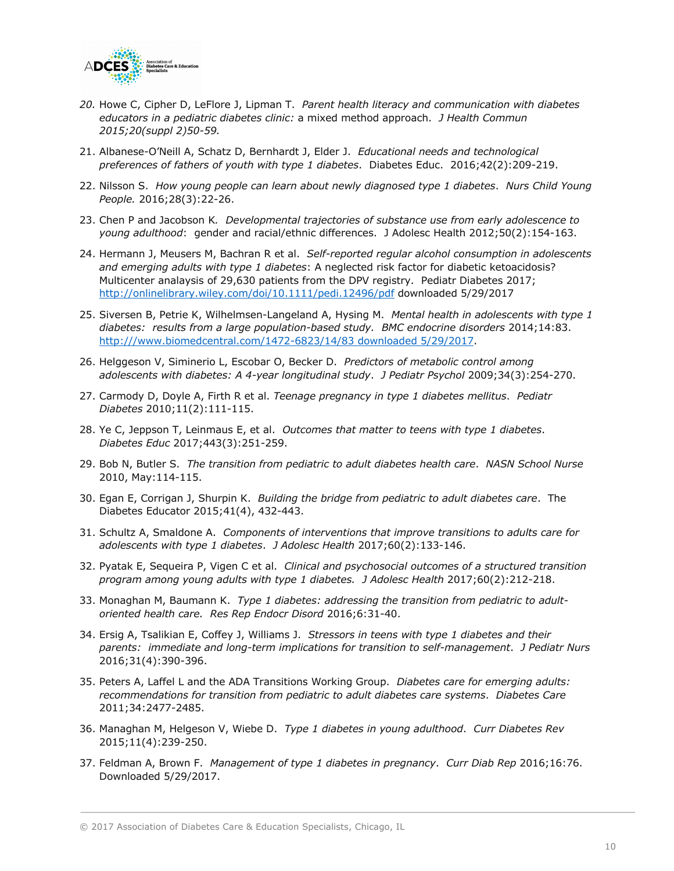

- *20.* Howe C, Cipher D, LeFlore J, Lipman T. *Parent health literacy and communication with diabetes educators in a pediatric diabetes clinic:* a mixed method approach. *J Health Commun 2015;20(suppl 2)50-59.*
- 21. Albanese-O'Neill A, Schatz D, Bernhardt J, Elder J. *Educational needs and technological preferences of fathers of youth with type 1 diabetes*. Diabetes Educ. 2016;42(2):209-219.
- 22. Nilsson S. *How young people can learn about newly diagnosed type 1 diabetes*. *Nurs Child Young People.* 2016;28(3):22-26.
- 23. Chen P and Jacobson K*. Developmental trajectories of substance use from early adolescence to young adulthood*: gender and racial/ethnic differences. J Adolesc Health 2012;50(2):154-163.
- 24. Hermann J, Meusers M, Bachran R et al. *Self-reported regular alcohol consumption in adolescents and emerging adults with type 1 diabetes*: A neglected risk factor for diabetic ketoacidosis? Multicenter analaysis of 29,630 patients from the DPV registry. Pediatr Diabetes 2017; http://onlinelibrary.wiley.com/doi/10.1111/pedi.12496/pdf downloaded 5/29/2017
- 25. Siversen B, Petrie K, Wilhelmsen-Langeland A, Hysing M. *Mental health in adolescents with type 1 diabetes: results from a large population-based study. BMC endocrine disorders* 2014;14:83. http:///www.biomedcentral.com/1472-6823/14/83 downloaded 5/29/2017.
- 26. Helggeson V, Siminerio L, Escobar O, Becker D. *Predictors of metabolic control among adolescents with diabetes: A 4-year longitudinal study*. *J Pediatr Psychol* 2009;34(3):254-270.
- 27. Carmody D, Doyle A, Firth R et al. *Teenage pregnancy in type 1 diabetes mellitus*. *Pediatr Diabetes* 2010;11(2):111-115.
- 28. Ye C, Jeppson T, Leinmaus E, et al. *Outcomes that matter to teens with type 1 diabetes*. *Diabetes Educ* 2017;443(3):251-259.
- 29. Bob N, Butler S. *The transition from pediatric to adult diabetes health care*. *NASN School Nurse* 2010, May:114-115.
- 30. Egan E, Corrigan J, Shurpin K. *Building the bridge from pediatric to adult diabetes care*. The Diabetes Educator 2015;41(4), 432-443.
- 31. Schultz A, Smaldone A. *Components of interventions that improve transitions to adults care for adolescents with type 1 diabetes*. *J Adolesc Health* 2017;60(2):133-146.
- 32. Pyatak E, Sequeira P, Vigen C et al. *Clinical and psychosocial outcomes of a structured transition program among young adults with type 1 diabetes. J Adolesc Health* 2017;60(2):212-218.
- 33. Monaghan M, Baumann K. *Type 1 diabetes: addressing the transition from pediatric to adultoriented health care. Res Rep Endocr Disord* 2016;6:31-40.
- 34. Ersig A, Tsalikian E, Coffey J, Williams J. *Stressors in teens with type 1 diabetes and their parents: immediate and long-term implications for transition to self-management*. *J Pediatr Nurs*  2016;31(4):390-396.
- 35. Peters A, Laffel L and the ADA Transitions Working Group. *Diabetes care for emerging adults: recommendations for transition from pediatric to adult diabetes care systems*. *Diabetes Care* 2011;34:2477-2485.
- 36. Managhan M, Helgeson V, Wiebe D. *Type 1 diabetes in young adulthood*. *Curr Diabetes Rev* 2015;11(4):239-250.
- 37. Feldman A, Brown F. *Management of type 1 diabetes in pregnancy*. *Curr Diab Rep* 2016;16:76. Downloaded 5/29/2017.

<sup>© 2017</sup> Association of Diabetes Care & Education Specialists, Chicago, IL